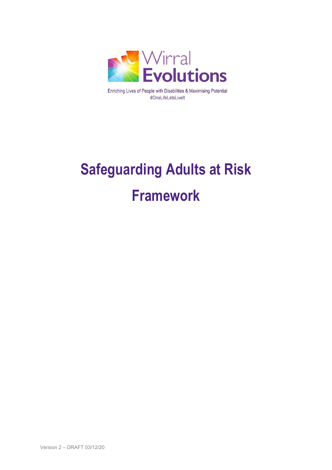

Enriching Lives of People with Disabilities & Maximising Potential #OneLifeLetsLiveIt

# **Safeguarding Adults at Risk Framework**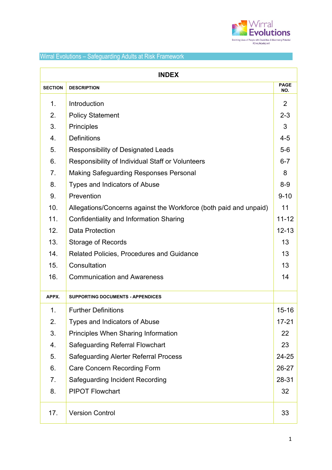

| <b>INDEX</b>   |                                                                   |                    |  |
|----------------|-------------------------------------------------------------------|--------------------|--|
| <b>SECTION</b> | <b>DESCRIPTION</b>                                                | <b>PAGE</b><br>NO. |  |
| $\mathbf 1$ .  | Introduction                                                      | 2                  |  |
| 2.             | <b>Policy Statement</b>                                           | $2 - 3$            |  |
| 3.             | <b>Principles</b>                                                 | 3                  |  |
| 4.             | <b>Definitions</b>                                                | $4 - 5$            |  |
| 5.             | Responsibility of Designated Leads                                | $5-6$              |  |
| 6.             | Responsibility of Individual Staff or Volunteers                  | $6 - 7$            |  |
| 7.             | <b>Making Safeguarding Responses Personal</b>                     | 8                  |  |
| 8.             | Types and Indicators of Abuse                                     | $8-9$              |  |
| 9.             | Prevention                                                        | $9 - 10$           |  |
| 10.            | Allegations/Concerns against the Workforce (both paid and unpaid) | 11                 |  |
| 11.            | <b>Confidentiality and Information Sharing</b>                    | $11 - 12$          |  |
| 12.            | <b>Data Protection</b>                                            |                    |  |
| 13.            | <b>Storage of Records</b>                                         |                    |  |
| 14.            | <b>Related Policies, Procedures and Guidance</b>                  |                    |  |
| 15.            | Consultation                                                      | 13                 |  |
| 16.            | <b>Communication and Awareness</b>                                | 14                 |  |
| APPX.          | <b>SUPPORTING DOCUMENTS - APPENDICES</b>                          |                    |  |
| 1.             | <b>Further Definitions</b>                                        | $15 - 16$          |  |
| 2.             | Types and Indicators of Abuse                                     | $17 - 21$          |  |
| 3.             | <b>Principles When Sharing Information</b>                        | 22                 |  |
| 4.             | <b>Safeguarding Referral Flowchart</b>                            | 23                 |  |
| 5.             | <b>Safeguarding Alerter Referral Process</b>                      | 24-25              |  |
| 6.             | <b>Care Concern Recording Form</b>                                | 26-27              |  |
| 7.             | <b>Safeguarding Incident Recording</b>                            | 28-31              |  |
| 8.             | <b>PIPOT Flowchart</b>                                            | 32                 |  |
| 17.            | <b>Version Control</b>                                            | 33                 |  |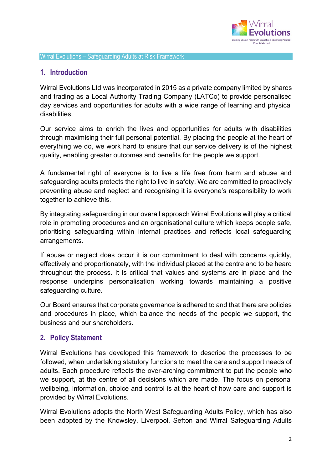

## **1. Introduction**

Wirral Evolutions Ltd was incorporated in 2015 as a private company limited by shares and trading as a Local Authority Trading Company (LATCo) to provide personalised day services and opportunities for adults with a wide range of learning and physical disabilities.

Our service aims to enrich the lives and opportunities for adults with disabilities through maximising their full personal potential. By placing the people at the heart of everything we do, we work hard to ensure that our service delivery is of the highest quality, enabling greater outcomes and benefits for the people we support.

A fundamental right of everyone is to live a life free from harm and abuse and safeguarding adults protects the right to live in safety. We are committed to proactively preventing abuse and neglect and recognising it is everyone's responsibility to work together to achieve this.

By integrating safeguarding in our overall approach Wirral Evolutions will play a critical role in promoting procedures and an organisational culture which keeps people safe, prioritising safeguarding within internal practices and reflects local safeguarding arrangements.

If abuse or neglect does occur it is our commitment to deal with concerns quickly, effectively and proportionately, with the individual placed at the centre and to be heard throughout the process. It is critical that values and systems are in place and the response underpins personalisation working towards maintaining a positive safeguarding culture.

Our Board ensures that corporate governance is adhered to and that there are policies and procedures in place, which balance the needs of the people we support, the business and our shareholders.

## **2. Policy Statement**

Wirral Evolutions has developed this framework to describe the processes to be followed, when undertaking statutory functions to meet the care and support needs of adults. Each procedure reflects the over-arching commitment to put the people who we support, at the centre of all decisions which are made. The focus on personal wellbeing, information, choice and control is at the heart of how care and support is provided by Wirral Evolutions.

Wirral Evolutions adopts the North West Safeguarding Adults Policy, which has also been adopted by the Knowsley, Liverpool, Sefton and Wirral Safeguarding Adults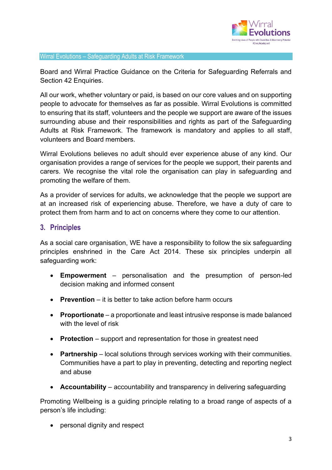

Board and Wirral Practice Guidance on the Criteria for Safeguarding Referrals and Section 42 Enquiries.

All our work, whether voluntary or paid, is based on our core values and on supporting people to advocate for themselves as far as possible. Wirral Evolutions is committed to ensuring that its staff, volunteers and the people we support are aware of the issues surrounding abuse and their responsibilities and rights as part of the Safeguarding Adults at Risk Framework. The framework is mandatory and applies to all staff, volunteers and Board members.

Wirral Evolutions believes no adult should ever experience abuse of any kind. Our organisation provides a range of services for the people we support, their parents and carers. We recognise the vital role the organisation can play in safeguarding and promoting the welfare of them.

As a provider of services for adults, we acknowledge that the people we support are at an increased risk of experiencing abuse. Therefore, we have a duty of care to protect them from harm and to act on concerns where they come to our attention.

## **3. Principles**

As a social care organisation, WE have a responsibility to follow the six safeguarding principles enshrined in the Care Act 2014. These six principles underpin all safeguarding work:

- **Empowerment**  personalisation and the presumption of person-led decision making and informed consent
- **Prevention** it is better to take action before harm occurs
- **Proportionate** a proportionate and least intrusive response is made balanced with the level of risk
- **Protection** support and representation for those in greatest need
- **Partnership** local solutions through services working with their communities. Communities have a part to play in preventing, detecting and reporting neglect and abuse
- **Accountability** accountability and transparency in delivering safeguarding

Promoting Wellbeing is a guiding principle relating to a broad range of aspects of a person's life including:

• personal dignity and respect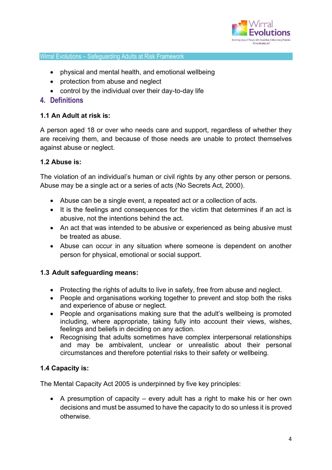

- physical and mental health, and emotional wellbeing
- protection from abuse and neglect
- control by the individual over their day-to-day life

## **4. Definitions**

#### **1.1 An Adult at risk is:**

A person aged 18 or over who needs care and support, regardless of whether they are receiving them, and because of those needs are unable to protect themselves against abuse or neglect.

#### **1.2 Abuse is:**

The violation of an individual's human or civil rights by any other person or persons. Abuse may be a single act or a series of acts (No Secrets Act, 2000).

- Abuse can be a single event, a repeated act or a collection of acts.
- It is the feelings and consequences for the victim that determines if an act is abusive, not the intentions behind the act.
- An act that was intended to be abusive or experienced as being abusive must be treated as abuse.
- Abuse can occur in any situation where someone is dependent on another person for physical, emotional or social support.

#### **1.3 Adult safeguarding means:**

- Protecting the rights of adults to live in safety, free from abuse and neglect.
- People and organisations working together to prevent and stop both the risks and experience of abuse or neglect.
- People and organisations making sure that the adult's wellbeing is promoted including, where appropriate, taking fully into account their views, wishes, feelings and beliefs in deciding on any action.
- Recognising that adults sometimes have complex interpersonal relationships and may be ambivalent, unclear or unrealistic about their personal circumstances and therefore potential risks to their safety or wellbeing.

## **1.4 Capacity is:**

The Mental Capacity Act 2005 is underpinned by five key principles:

• A presumption of capacity – every adult has a right to make his or her own decisions and must be assumed to have the capacity to do so unless it is proved otherwise.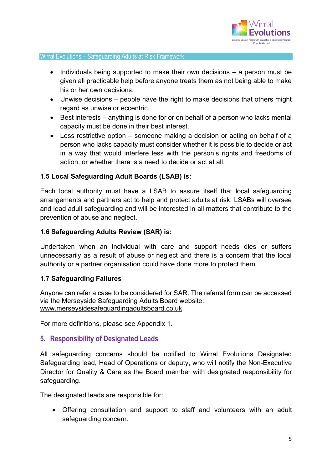

- Individuals being supported to make their own decisions a person must be given all practicable help before anyone treats them as not being able to make his or her own decisions.
- Unwise decisions people have the right to make decisions that others might regard as unwise or eccentric.
- Best interests anything is done for or on behalf of a person who lacks mental capacity must be done in their best interest.
- Less restrictive option someone making a decision or acting on behalf of a person who lacks capacity must consider whether it is possible to decide or act in a way that would interfere less with the person's rights and freedoms of action, or whether there is a need to decide or act at all.

#### **1.5 Local Safeguarding Adult Boards (LSAB) is:**

Each local authority must have a LSAB to assure itself that local safeguarding arrangements and partners act to help and protect adults at risk. LSABs will oversee and lead adult safeguarding and will be interested in all matters that contribute to the prevention of abuse and neglect.

#### **1.6 Safeguarding Adults Review (SAR) is:**

Undertaken when an individual with care and support needs dies or suffers unnecessarily as a result of abuse or neglect and there is a concern that the local authority or a partner organisation could have done more to protect them.

#### **1.7 Safeguarding Failures**

Anyone can refer a case to be considered for SAR. The referral form can be accessed via the Merseyside Safeguarding Adults Board website: [www.merseysidesafeguardingadultsboard.co.uk](http://www.merseysidesafeguardingadultsboard.co.uk/)

For more definitions, please see Appendix 1.

## **5. Responsibility of Designated Leads**

All safeguarding concerns should be notified to Wirral Evolutions Designated Safeguarding lead, Head of Operations or deputy, who will notify the Non-Executive Director for Quality & Care as the Board member with designated responsibility for safeguarding.

The designated leads are responsible for:

• Offering consultation and support to staff and volunteers with an adult safeguarding concern.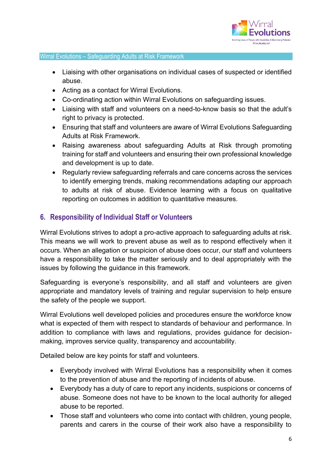

- Liaising with other organisations on individual cases of suspected or identified abuse.
- Acting as a contact for Wirral Evolutions.
- Co-ordinating action within Wirral Evolutions on safeguarding issues.
- Liaising with staff and volunteers on a need-to-know basis so that the adult's right to privacy is protected.
- Ensuring that staff and volunteers are aware of Wirral Evolutions Safeguarding Adults at Risk Framework.
- Raising awareness about safeguarding Adults at Risk through promoting training for staff and volunteers and ensuring their own professional knowledge and development is up to date.
- Regularly review safeguarding referrals and care concerns across the services to identify emerging trends, making recommendations adapting our approach to adults at risk of abuse. Evidence learning with a focus on qualitative reporting on outcomes in addition to quantitative measures.

## **6. Responsibility of Individual Staff or Volunteers**

Wirral Evolutions strives to adopt a pro-active approach to safeguarding adults at risk. This means we will work to prevent abuse as well as to respond effectively when it occurs. When an allegation or suspicion of abuse does occur, our staff and volunteers have a responsibility to take the matter seriously and to deal appropriately with the issues by following the guidance in this framework.

Safeguarding is everyone's responsibility, and all staff and volunteers are given appropriate and mandatory levels of training and regular supervision to help ensure the safety of the people we support.

Wirral Evolutions well developed policies and procedures ensure the workforce know what is expected of them with respect to standards of behaviour and performance. In addition to compliance with laws and regulations, provides guidance for decisionmaking, improves service quality, transparency and accountability.

Detailed below are key points for staff and volunteers.

- Everybody involved with Wirral Evolutions has a responsibility when it comes to the prevention of abuse and the reporting of incidents of abuse.
- Everybody has a duty of care to report any incidents, suspicions or concerns of abuse. Someone does not have to be known to the local authority for alleged abuse to be reported.
- Those staff and volunteers who come into contact with children, young people, parents and carers in the course of their work also have a responsibility to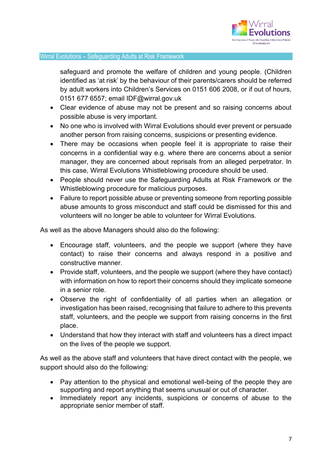

safeguard and promote the welfare of children and young people. (Children identified as 'at risk' by the behaviour of their parents/carers should be referred by adult workers into Children's Services on 0151 606 2008, or if out of hours, 0151 677 6557; email IDF@wirral.gov.uk

- Clear evidence of abuse may not be present and so raising concerns about possible abuse is very important.
- No one who is involved with Wirral Evolutions should ever prevent or persuade another person from raising concerns, suspicions or presenting evidence.
- There may be occasions when people feel it is appropriate to raise their concerns in a confidential way e.g. where there are concerns about a senior manager, they are concerned about reprisals from an alleged perpetrator. In this case, Wirral Evolutions Whistleblowing procedure should be used.
- People should never use the Safeguarding Adults at Risk Framework or the Whistleblowing procedure for malicious purposes.
- Failure to report possible abuse or preventing someone from reporting possible abuse amounts to gross misconduct and staff could be dismissed for this and volunteers will no longer be able to volunteer for Wirral Evolutions.

As well as the above Managers should also do the following:

- Encourage staff, volunteers, and the people we support (where they have contact) to raise their concerns and always respond in a positive and constructive manner.
- Provide staff, volunteers, and the people we support (where they have contact) with information on how to report their concerns should they implicate someone in a senior role.
- Observe the right of confidentiality of all parties when an allegation or investigation has been raised, recognising that failure to adhere to this prevents staff, volunteers, and the people we support from raising concerns in the first place.
- Understand that how they interact with staff and volunteers has a direct impact on the lives of the people we support.

As well as the above staff and volunteers that have direct contact with the people, we support should also do the following:

- Pay attention to the physical and emotional well-being of the people they are supporting and report anything that seems unusual or out of character.
- Immediately report any incidents, suspicions or concerns of abuse to the appropriate senior member of staff.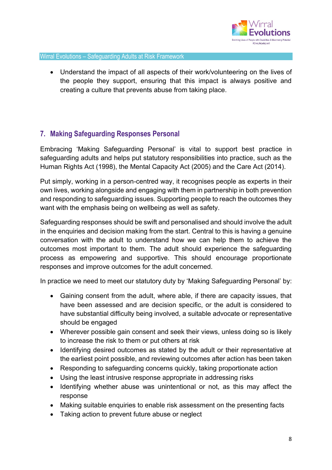

• Understand the impact of all aspects of their work/volunteering on the lives of the people they support, ensuring that this impact is always positive and creating a culture that prevents abuse from taking place.

# **7. Making Safeguarding Responses Personal**

Embracing 'Making Safeguarding Personal' is vital to support best practice in safeguarding adults and helps put statutory responsibilities into practice, such as the Human Rights Act (1998), the Mental Capacity Act (2005) and the Care Act (2014).

Put simply, working in a person-centred way, it recognises people as experts in their own lives, working alongside and engaging with them in partnership in both prevention and responding to safeguarding issues. Supporting people to reach the outcomes they want with the emphasis being on wellbeing as well as safety.

Safeguarding responses should be swift and personalised and should involve the adult in the enquiries and decision making from the start. Central to this is having a genuine conversation with the adult to understand how we can help them to achieve the outcomes most important to them. The adult should experience the safeguarding process as empowering and supportive. This should encourage proportionate responses and improve outcomes for the adult concerned.

In practice we need to meet our statutory duty by 'Making Safeguarding Personal' by:

- Gaining consent from the adult, where able, if there are capacity issues, that have been assessed and are decision specific, or the adult is considered to have substantial difficulty being involved, a suitable advocate or representative should be engaged
- Wherever possible gain consent and seek their views, unless doing so is likely to increase the risk to them or put others at risk
- Identifying desired outcomes as stated by the adult or their representative at the earliest point possible, and reviewing outcomes after action has been taken
- Responding to safeguarding concerns quickly, taking proportionate action
- Using the least intrusive response appropriate in addressing risks
- Identifying whether abuse was unintentional or not, as this may affect the response
- Making suitable enquiries to enable risk assessment on the presenting facts
- Taking action to prevent future abuse or neglect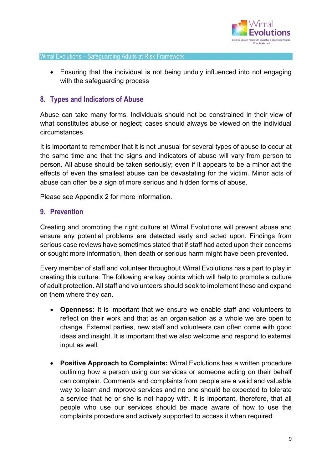

• Ensuring that the individual is not being unduly influenced into not engaging with the safeguarding process

## **8. Types and Indicators of Abuse**

Abuse can take many forms. Individuals should not be constrained in their view of what constitutes abuse or neglect; cases should always be viewed on the individual circumstances.

It is important to remember that it is not unusual for several types of abuse to occur at the same time and that the signs and indicators of abuse will vary from person to person. All abuse should be taken seriously; even if it appears to be a minor act the effects of even the smallest abuse can be devastating for the victim. Minor acts of abuse can often be a sign of more serious and hidden forms of abuse.

Please see Appendix 2 for more information.

#### **9. Prevention**

Creating and promoting the right culture at Wirral Evolutions will prevent abuse and ensure any potential problems are detected early and acted upon. Findings from serious case reviews have sometimes stated that if staff had acted upon their concerns or sought more information, then death or serious harm might have been prevented.

Every member of staff and volunteer throughout Wirral Evolutions has a part to play in creating this culture. The following are key points which will help to promote a culture of adult protection. All staff and volunteers should seek to implement these and expand on them where they can.

- **Openness:** It is important that we ensure we enable staff and volunteers to reflect on their work and that as an organisation as a whole we are open to change. External parties, new staff and volunteers can often come with good ideas and insight. It is important that we also welcome and respond to external input as well.
- **Positive Approach to Complaints:** Wirral Evolutions has a written procedure outlining how a person using our services or someone acting on their behalf can complain. Comments and complaints from people are a valid and valuable way to learn and improve services and no one should be expected to tolerate a service that he or she is not happy with. It is important, therefore, that all people who use our services should be made aware of how to use the complaints procedure and actively supported to access it when required.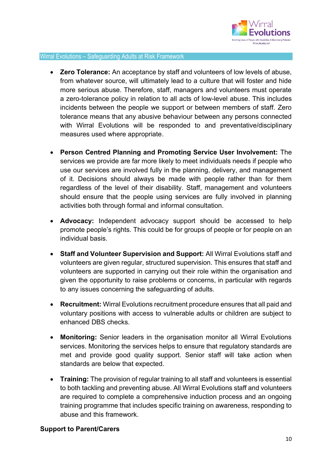

- **Zero Tolerance:** An acceptance by staff and volunteers of low levels of abuse, from whatever source, will ultimately lead to a culture that will foster and hide more serious abuse. Therefore, staff, managers and volunteers must operate a zero-tolerance policy in relation to all acts of low-level abuse. This includes incidents between the people we support or between members of staff. Zero tolerance means that any abusive behaviour between any persons connected with Wirral Evolutions will be responded to and preventative/disciplinary measures used where appropriate.
- **Person Centred Planning and Promoting Service User Involvement:** The services we provide are far more likely to meet individuals needs if people who use our services are involved fully in the planning, delivery, and management of it. Decisions should always be made with people rather than for them regardless of the level of their disability. Staff, management and volunteers should ensure that the people using services are fully involved in planning activities both through formal and informal consultation.
- **Advocacy:** Independent advocacy support should be accessed to help promote people's rights. This could be for groups of people or for people on an individual basis.
- **Staff and Volunteer Supervision and Support:** All Wirral Evolutions staff and volunteers are given regular, structured supervision. This ensures that staff and volunteers are supported in carrying out their role within the organisation and given the opportunity to raise problems or concerns, in particular with regards to any issues concerning the safeguarding of adults.
- **Recruitment:** Wirral Evolutions recruitment procedure ensures that all paid and voluntary positions with access to vulnerable adults or children are subject to enhanced DBS checks.
- **Monitoring:** Senior leaders in the organisation monitor all Wirral Evolutions services. Monitoring the services helps to ensure that regulatory standards are met and provide good quality support. Senior staff will take action when standards are below that expected.
- **Training:** The provision of regular training to all staff and volunteers is essential to both tackling and preventing abuse. All Wirral Evolutions staff and volunteers are required to complete a comprehensive induction process and an ongoing training programme that includes specific training on awareness, responding to abuse and this framework.

#### **Support to Parent/Carers**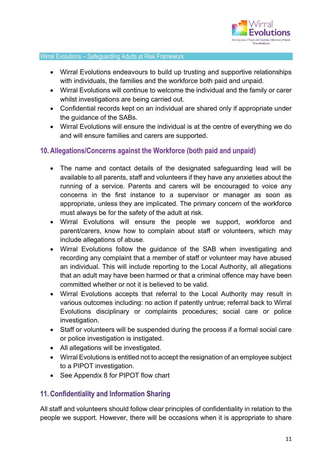

- Wirral Evolutions endeavours to build up trusting and supportive relationships with individuals, the families and the workforce both paid and unpaid.
- Wirral Evolutions will continue to welcome the individual and the family or carer whilst investigations are being carried out.
- Confidential records kept on an individual are shared only if appropriate under the guidance of the SABs.
- Wirral Evolutions will ensure the individual is at the centre of everything we do and will ensure families and carers are supported.

## **10. Allegations/Concerns against the Workforce (both paid and unpaid)**

- The name and contact details of the designated safeguarding lead will be available to all parents, staff and volunteers if they have any anxieties about the running of a service. Parents and carers will be encouraged to voice any concerns in the first instance to a supervisor or manager as soon as appropriate, unless they are implicated. The primary concern of the workforce must always be for the safety of the adult at risk.
- Wirral Evolutions will ensure the people we support, workforce and parent/carers, know how to complain about staff or volunteers, which may include allegations of abuse.
- Wirral Evolutions follow the guidance of the SAB when investigating and recording any complaint that a member of staff or volunteer may have abused an individual. This will include reporting to the Local Authority, all allegations that an adult may have been harmed or that a criminal offence may have been committed whether or not it is believed to be valid.
- Wirral Evolutions accepts that referral to the Local Authority may result in various outcomes including: no action if patently untrue; referral back to Wirral Evolutions disciplinary or complaints procedures; social care or police investigation.
- Staff or volunteers will be suspended during the process if a formal social care or police investigation is instigated.
- All allegations will be investigated.
- Wirral Evolutions is entitled not to accept the resignation of an employee subject to a PIPOT investigation.
- See Appendix 8 for PIPOT flow chart

## **11. Confidentiality and Information Sharing**

All staff and volunteers should follow clear principles of confidentiality in relation to the people we support. However, there will be occasions when it is appropriate to share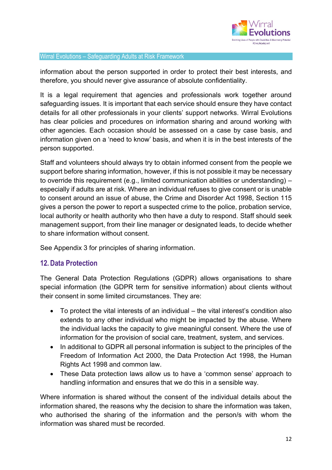

information about the person supported in order to protect their best interests, and therefore, you should never give assurance of absolute confidentiality.

It is a legal requirement that agencies and professionals work together around safeguarding issues. It is important that each service should ensure they have contact details for all other professionals in your clients' support networks. Wirral Evolutions has clear policies and procedures on information sharing and around working with other agencies. Each occasion should be assessed on a case by case basis, and information given on a 'need to know' basis, and when it is in the best interests of the person supported.

Staff and volunteers should always try to obtain informed consent from the people we support before sharing information, however, if this is not possible it may be necessary to override this requirement (e.g., limited communication abilities or understanding) – especially if adults are at risk. Where an individual refuses to give consent or is unable to consent around an issue of abuse, the Crime and Disorder Act 1998, Section 115 gives a person the power to report a suspected crime to the police, probation service, local authority or health authority who then have a duty to respond. Staff should seek management support, from their line manager or designated leads, to decide whether to share information without consent.

See Appendix 3 for principles of sharing information.

## **12. Data Protection**

The General Data Protection Regulations (GDPR) allows organisations to share special information (the GDPR term for sensitive information) about clients without their consent in some limited circumstances. They are:

- To protect the vital interests of an individual the vital interest's condition also extends to any other individual who might be impacted by the abuse. Where the individual lacks the capacity to give meaningful consent. Where the use of information for the provision of social care, treatment, system, and services.
- In additional to GDPR all personal information is subject to the principles of the Freedom of Information Act 2000, the Data Protection Act 1998, the Human Rights Act 1998 and common law.
- These Data protection laws allow us to have a 'common sense' approach to handling information and ensures that we do this in a sensible way.

Where information is shared without the consent of the individual details about the information shared, the reasons why the decision to share the information was taken, who authorised the sharing of the information and the person/s with whom the information was shared must be recorded.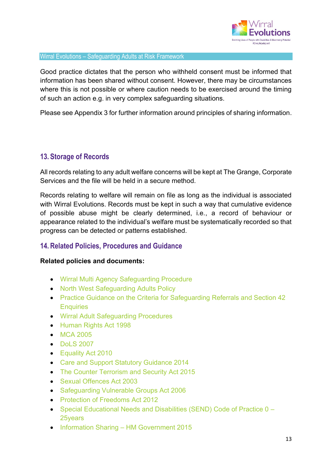

Good practice dictates that the person who withheld consent must be informed that information has been shared without consent. However, there may be circumstances where this is not possible or where caution needs to be exercised around the timing of such an action e.g. in very complex safeguarding situations.

Please see Appendix 3 for further information around principles of sharing information.

## **13. Storage of Records**

All records relating to any adult welfare concerns will be kept at The Grange, Corporate Services and the file will be held in a secure method.

Records relating to welfare will remain on file as long as the individual is associated with Wirral Evolutions. Records must be kept in such a way that cumulative evidence of possible abuse might be clearly determined, i.e., a record of behaviour or appearance related to the individual's welfare must be systematically recorded so that progress can be detected or patterns established.

## **14. Related Policies, Procedures and Guidance**

#### **Related policies and documents:**

- Wirral Multi Agency Safeguarding Procedure
- North West Safeguarding Adults Policy
- Practice Guidance on the Criteria for Safeguarding Referrals and Section 42 **Enquiries**
- Wirral Adult Safeguarding Procedures
- Human Rights Act 1998
- MCA 2005
- DoLS 2007
- Equality Act 2010
- Care and Support Statutory Guidance 2014
- The Counter Terrorism and Security Act 2015
- Sexual Offences Act 2003
- Safeguarding Vulnerable Groups Act 2006
- Protection of Freedoms Act 2012
- Special Educational Needs and Disabilities (SEND) Code of Practice 0 25years
- Information Sharing HM Government 2015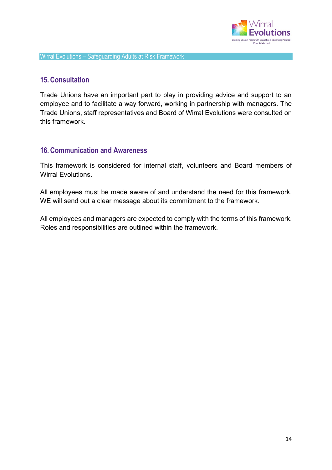

## **15. Consultation**

Trade Unions have an important part to play in providing advice and support to an employee and to facilitate a way forward, working in partnership with managers. The Trade Unions, staff representatives and Board of Wirral Evolutions were consulted on this framework.

## **16. Communication and Awareness**

This framework is considered for internal staff, volunteers and Board members of Wirral Evolutions.

All employees must be made aware of and understand the need for this framework. WE will send out a clear message about its commitment to the framework.

All employees and managers are expected to comply with the terms of this framework. Roles and responsibilities are outlined within the framework.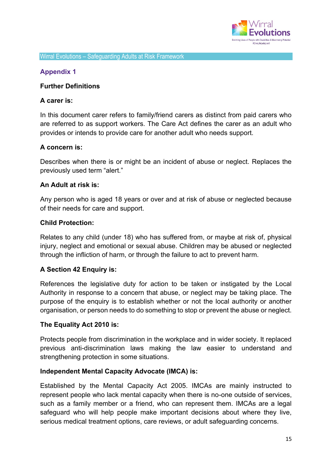

#### **Appendix 1**

#### **Further Definitions**

#### **A carer is:**

In this document carer refers to family/friend carers as distinct from paid carers who are referred to as support workers. The Care Act defines the carer as an adult who provides or intends to provide care for another adult who needs support.

#### **A concern is:**

Describes when there is or might be an incident of abuse or neglect. Replaces the previously used term "alert."

#### **An Adult at risk is:**

Any person who is aged 18 years or over and at risk of abuse or neglected because of their needs for care and support.

#### **Child Protection:**

Relates to any child (under 18) who has suffered from, or maybe at risk of, physical injury, neglect and emotional or sexual abuse. Children may be abused or neglected through the infliction of harm, or through the failure to act to prevent harm.

#### **A Section 42 Enquiry is:**

References the legislative duty for action to be taken or instigated by the Local Authority in response to a concern that abuse, or neglect may be taking place. The purpose of the enquiry is to establish whether or not the local authority or another organisation, or person needs to do something to stop or prevent the abuse or neglect.

#### **The Equality Act 2010 is:**

Protects people from discrimination in the workplace and in wider society. It replaced previous anti-discrimination laws making the law easier to understand and strengthening protection in some situations.

#### **Independent Mental Capacity Advocate (IMCA) is:**

Established by the Mental Capacity Act 2005. IMCAs are mainly instructed to represent people who lack mental capacity when there is no-one outside of services, such as a family member or a friend, who can represent them. IMCAs are a legal safeguard who will help people make important decisions about where they live, serious medical treatment options, care reviews, or adult safeguarding concerns.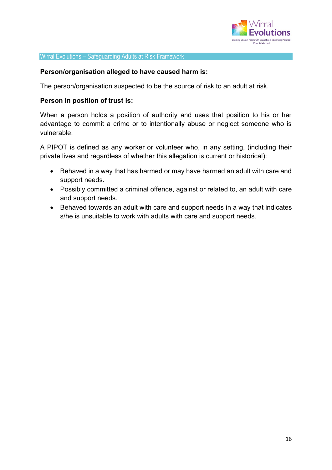

#### **Person/organisation alleged to have caused harm is:**

The person/organisation suspected to be the source of risk to an adult at risk.

#### **Person in position of trust is:**

When a person holds a position of authority and uses that position to his or her advantage to commit a crime or to intentionally abuse or neglect someone who is vulnerable.

A PIPOT is defined as any worker or volunteer who, in any setting, (including their private lives and regardless of whether this allegation is current or historical):

- Behaved in a way that has harmed or may have harmed an adult with care and support needs.
- Possibly committed a criminal offence, against or related to, an adult with care and support needs.
- Behaved towards an adult with care and support needs in a way that indicates s/he is unsuitable to work with adults with care and support needs.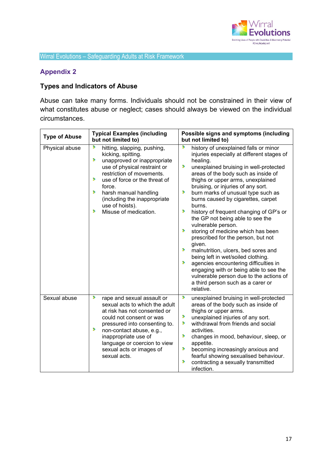

## **Appendix 2**

# **Types and Indicators of Abuse**

Abuse can take many forms. Individuals should not be constrained in their view of what constitutes abuse or neglect; cases should always be viewed on the individual circumstances.

| <b>Type of Abuse</b> | <b>Typical Examples (including</b><br>but not limited to)                                                                                                                                                                                                                                                              | Possible signs and symptoms (including<br>but not limited to)                                                                                                                                                                                                                                                                                                                                                                                                                                                                                                                                                                                                                                                                                                                                                                                |  |
|----------------------|------------------------------------------------------------------------------------------------------------------------------------------------------------------------------------------------------------------------------------------------------------------------------------------------------------------------|----------------------------------------------------------------------------------------------------------------------------------------------------------------------------------------------------------------------------------------------------------------------------------------------------------------------------------------------------------------------------------------------------------------------------------------------------------------------------------------------------------------------------------------------------------------------------------------------------------------------------------------------------------------------------------------------------------------------------------------------------------------------------------------------------------------------------------------------|--|
| Physical abuse       | ٠<br>hitting, slapping, pushing,<br>kicking, spitting.<br>×<br>unapproved or inappropriate<br>use of physical restraint or<br>restriction of movements.<br>×<br>use of force or the threat of<br>force.<br>,<br>harsh manual handling<br>(including the inappropriate<br>use of hoists).<br>,<br>Misuse of medication. | S<br>history of unexplained falls or minor<br>injuries especially at different stages of<br>healing.<br>×<br>unexplained bruising in well-protected<br>areas of the body such as inside of<br>thighs or upper arms, unexplained<br>bruising, or injuries of any sort.<br>Þ<br>burn marks of unusual type such as<br>burns caused by cigarettes, carpet<br>burns.<br>,<br>history of frequent changing of GP's or<br>the GP not being able to see the<br>vulnerable person.<br>×<br>storing of medicine which has been<br>prescribed for the person, but not<br>given.<br>×<br>malnutrition, ulcers, bed sores and<br>being left in wet/soiled clothing.<br>×<br>agencies encountering difficulties in<br>engaging with or being able to see the<br>vulnerable person due to the actions of<br>a third person such as a carer or<br>relative. |  |
| Sexual abuse         | ,<br>rape and sexual assault or<br>sexual acts to which the adult<br>at risk has not consented or<br>could not consent or was<br>pressured into consenting to.<br>,<br>non-contact abuse, e.g.,<br>inappropriate use of<br>language or coercion to view<br>sexual acts or images of<br>sexual acts.                    | ۶<br>unexplained bruising in well-protected<br>areas of the body such as inside of<br>thighs or upper arms.<br>×<br>unexplained injuries of any sort.<br>Þ<br>withdrawal from friends and social<br>activities.<br>×<br>changes in mood, behaviour, sleep, or<br>appetite.<br>Þ<br>becoming increasingly anxious and<br>fearful showing sexualised behaviour.<br>×<br>contracting a sexually transmitted<br>infection.                                                                                                                                                                                                                                                                                                                                                                                                                       |  |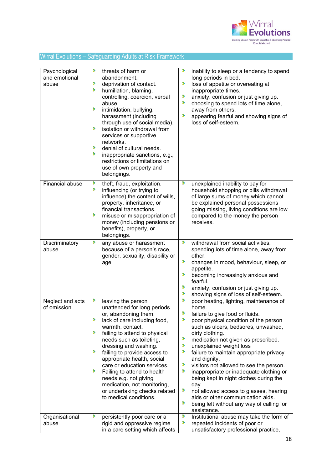

| Psychological<br>and emotional<br>abuse | ×<br>threats of harm or<br>abandonment.<br>,<br>deprivation of contact.<br>,<br>humiliation, blaming,<br>controlling, coercion, verbal<br>abuse.<br>×<br>intimidation, bullying,<br>harassment (including<br>through use of social media).<br>s.<br>isolation or withdrawal from<br>services or supportive<br>networks.<br>,<br>denial of cultural needs.<br>s.<br>inappropriate sanctions, e.g.,<br>restrictions or limitations on<br>use of own property and<br>belongings.               | ٠<br>inability to sleep or a tendency to spend<br>long periods in bed.<br>Þ<br>loss of appetite or overeating at<br>inappropriate times.<br>Þ<br>anxiety, confusion or just giving up.<br>,<br>choosing to spend lots of time alone,<br>away from others.<br>,<br>appearing fearful and showing signs of<br>loss of self-esteem.                                                                                                                                                                                                                                                                                                                        |
|-----------------------------------------|---------------------------------------------------------------------------------------------------------------------------------------------------------------------------------------------------------------------------------------------------------------------------------------------------------------------------------------------------------------------------------------------------------------------------------------------------------------------------------------------|---------------------------------------------------------------------------------------------------------------------------------------------------------------------------------------------------------------------------------------------------------------------------------------------------------------------------------------------------------------------------------------------------------------------------------------------------------------------------------------------------------------------------------------------------------------------------------------------------------------------------------------------------------|
| <b>Financial abuse</b>                  | theft, fraud, exploitation.<br>×<br>,<br>influencing (or trying to<br>influence) the content of wills,<br>property, inheritance, or<br>financial transactions.<br>,<br>misuse or misappropriation of<br>money (including pensions or<br>benefits), property, or<br>belongings.                                                                                                                                                                                                              | ,<br>unexplained inability to pay for<br>household shopping or bills withdrawal<br>of large sums of money which cannot<br>be explained personal possessions<br>going missing, living conditions are low<br>compared to the money the person<br>receives.                                                                                                                                                                                                                                                                                                                                                                                                |
| Discriminatory<br>abuse                 | ×<br>any abuse or harassment<br>because of a person's race,<br>gender, sexuality, disability or<br>age                                                                                                                                                                                                                                                                                                                                                                                      | ,<br>withdrawal from social activities,<br>spending lots of time alone, away from<br>other.<br>×<br>changes in mood, behaviour, sleep, or<br>appetite.<br>×<br>becoming increasingly anxious and<br>fearful.<br>Þ<br>anxiety, confusion or just giving up.<br>×<br>showing signs of loss of self-esteem.                                                                                                                                                                                                                                                                                                                                                |
| Neglect and acts<br>of omission         | ٠<br>leaving the person<br>unattended for long periods<br>or, abandoning them.<br>,<br>lack of care including food,<br>warmth, contact.<br>×<br>failing to attend to physical<br>needs such as toileting,<br>dressing and washing.<br>,<br>failing to provide access to<br>appropriate health, social<br>care or education services.<br>,<br>Failing to attend to health<br>needs e.g. not giving<br>medication, not monitoring,<br>or undertaking checks related<br>to medical conditions. | Þ<br>poor heating, lighting, maintenance of<br>home.<br>,<br>failure to give food or fluids.<br>,<br>poor physical condition of the person<br>such as ulcers, bedsores, unwashed,<br>dirty clothing.<br>×<br>medication not given as prescribed.<br>Þ<br>unexplained weight loss<br>Þ<br>failure to maintain appropriate privacy<br>and dignity.<br>Þ<br>visitors not allowed to see the person.<br>×<br>inappropriate or inadequate clothing or<br>being kept in night clothes during the<br>day.<br>Þ<br>not allowed access to glasses, hearing<br>aids or other communication aids.<br>Þ<br>being left without any way of calling for<br>assistance. |
| Organisational<br>abuse                 | Þ<br>persistently poor care or a<br>rigid and oppressive regime<br>in a care setting which affects                                                                                                                                                                                                                                                                                                                                                                                          | Þ<br>Institutional abuse may take the form of<br>Þ<br>repeated incidents of poor or<br>unsatisfactory professional practice,                                                                                                                                                                                                                                                                                                                                                                                                                                                                                                                            |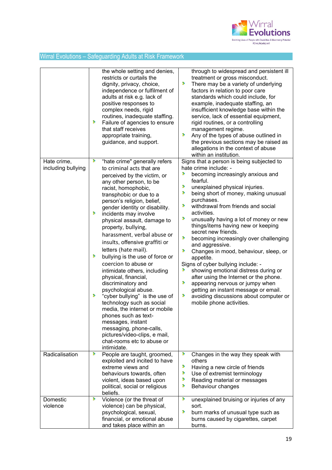

|                    | the whole setting and denies,<br>restricts or curtails the<br>dignity, privacy, choice,<br>independence or fulfilment of<br>adults at risk e.g. lack of<br>positive responses to<br>complex needs, rigid<br>routines, inadequate staffing.<br>×<br>Failure of agencies to ensure<br>that staff receives<br>appropriate training,<br>guidance, and support.                                                                                                                                                                                                                                                                                                                                                                                                                                                          | through to widespread and persistent ill<br>treatment or gross misconduct.<br>Þ<br>There may be a variety of underlying<br>factors in relation to poor care<br>standards which could include, for<br>example, inadequate staffing, an<br>insufficient knowledge base within the<br>service, lack of essential equipment,<br>rigid routines, or a controlling<br>management regime.<br>×<br>Any of the types of abuse outlined in<br>the previous sections may be raised as<br>allegations in the context of abuse<br>within an institution.                                                                                                                                                                                                                              |
|--------------------|---------------------------------------------------------------------------------------------------------------------------------------------------------------------------------------------------------------------------------------------------------------------------------------------------------------------------------------------------------------------------------------------------------------------------------------------------------------------------------------------------------------------------------------------------------------------------------------------------------------------------------------------------------------------------------------------------------------------------------------------------------------------------------------------------------------------|--------------------------------------------------------------------------------------------------------------------------------------------------------------------------------------------------------------------------------------------------------------------------------------------------------------------------------------------------------------------------------------------------------------------------------------------------------------------------------------------------------------------------------------------------------------------------------------------------------------------------------------------------------------------------------------------------------------------------------------------------------------------------|
| Hate crime,        | ×<br>"hate crime" generally refers                                                                                                                                                                                                                                                                                                                                                                                                                                                                                                                                                                                                                                                                                                                                                                                  | Signs that a person is being subjected to                                                                                                                                                                                                                                                                                                                                                                                                                                                                                                                                                                                                                                                                                                                                |
| including bullying | to criminal acts that are<br>perceived by the victim, or<br>any other person, to be<br>racist, homophobic,<br>transphobic or due to a<br>person's religion, belief,<br>gender identity or disability.<br>×<br>incidents may involve<br>physical assault, damage to<br>property, bullying,<br>harassment, verbal abuse or<br>insults, offensive graffiti or<br>letters (hate mail).<br>Þ<br>bullying is the use of force or<br>coercion to abuse or<br>intimidate others, including<br>physical, financial,<br>discriminatory and<br>psychological abuse.<br>,<br>"cyber bullying" is the use of<br>technology such as social<br>media, the internet or mobile<br>phones such as text-<br>messages, instant<br>messaging, phone-calls,<br>pictures/video-clips, e mail,<br>chat-rooms etc to abuse or<br>intimidate. | hate crime include: -<br>⋗<br>becoming increasingly anxious and<br>fearful.<br>⋗<br>unexplained physical injuries.<br>⋗<br>being short of money, making unusual<br>purchases.<br>Þ<br>withdrawal from friends and social<br>activities.<br>Þ<br>unusually having a lot of money or new<br>things/items having new or keeping<br>secret new friends.<br>×<br>becoming increasingly over challenging<br>and aggressive.<br>Þ<br>Changes in mood, behaviour, sleep, or<br>appetite.<br>Signs of cyber bullying include: -<br>Þ<br>showing emotional distress during or<br>after using the Internet or the phone.<br>Þ<br>appearing nervous or jumpy when<br>getting an instant message or email.<br>Þ<br>avoiding discussions about computer or<br>mobile phone activities. |
| Radicalisation     | ×<br>People are taught, groomed,<br>exploited and incited to have<br>extreme views and<br>behaviours towards, often<br>violent, ideas based upon<br>political, social or religious<br>beliefs.                                                                                                                                                                                                                                                                                                                                                                                                                                                                                                                                                                                                                      | Þ<br>Changes in the way they speak with<br>others<br>Þ<br>Having a new circle of friends<br>⋗<br>Use of extremist terminology<br>Þ<br>Reading material or messages<br>s<br>Behaviour changes                                                                                                                                                                                                                                                                                                                                                                                                                                                                                                                                                                             |
| Domestic           | ,<br>Violence (or the threat of                                                                                                                                                                                                                                                                                                                                                                                                                                                                                                                                                                                                                                                                                                                                                                                     | ٠<br>unexplained bruising or injuries of any                                                                                                                                                                                                                                                                                                                                                                                                                                                                                                                                                                                                                                                                                                                             |
| violence           | violence) can be physical,<br>psychological, sexual,<br>financial, or emotional abuse<br>and takes place within an                                                                                                                                                                                                                                                                                                                                                                                                                                                                                                                                                                                                                                                                                                  | sort.<br>Þ<br>burn marks of unusual type such as<br>burns caused by cigarettes, carpet<br>burns.                                                                                                                                                                                                                                                                                                                                                                                                                                                                                                                                                                                                                                                                         |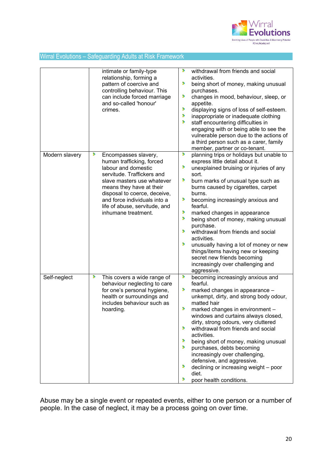

|                | intimate or family-type<br>relationship, forming a<br>pattern of coercive and<br>controlling behaviour. This<br>can include forced marriage<br>and so-called 'honour'<br>crimes.                                                                                                              | ٠<br>withdrawal from friends and social<br>activities.<br>,<br>being short of money, making unusual<br>purchases.<br>×<br>changes in mood, behaviour, sleep, or<br>appetite.<br>×<br>displaying signs of loss of self-esteem.<br>٠<br>inappropriate or inadequate clothing<br>,<br>staff encountering difficulties in<br>engaging with or being able to see the<br>vulnerable person due to the actions of<br>a third person such as a carer, family<br>member, partner or co-tenant.                                                                                                                                       |
|----------------|-----------------------------------------------------------------------------------------------------------------------------------------------------------------------------------------------------------------------------------------------------------------------------------------------|-----------------------------------------------------------------------------------------------------------------------------------------------------------------------------------------------------------------------------------------------------------------------------------------------------------------------------------------------------------------------------------------------------------------------------------------------------------------------------------------------------------------------------------------------------------------------------------------------------------------------------|
| Modern slavery | ,<br>Encompasses slavery,<br>human trafficking, forced<br>labour and domestic<br>servitude. Traffickers and<br>slave masters use whatever<br>means they have at their<br>disposal to coerce, deceive,<br>and force individuals into a<br>life of abuse, servitude, and<br>inhumane treatment. | ٠<br>planning trips or holidays but unable to<br>express little detail about it.<br>,<br>unexplained bruising or injuries of any<br>sort.<br>D<br>burn marks of unusual type such as<br>burns caused by cigarettes, carpet<br>burns.<br>٠<br>becoming increasingly anxious and<br>fearful.<br>э<br>marked changes in appearance<br>,<br>being short of money, making unusual<br>purchase.<br>٠<br>withdrawal from friends and social<br>activities.<br>,<br>unusually having a lot of money or new<br>things/items having new or keeping<br>secret new friends becoming<br>increasingly over challenging and<br>aggressive. |
| Self-neglect   | ,<br>This covers a wide range of<br>behaviour neglecting to care<br>for one's personal hygiene,<br>health or surroundings and<br>includes behaviour such as<br>hoarding.                                                                                                                      | ۶<br>becoming increasingly anxious and<br>fearful.<br>×<br>marked changes in appearance -<br>unkempt, dirty, and strong body odour,<br>matted hair<br>×<br>marked changes in environment -<br>windows and curtains always closed,<br>dirty, strong odours, very cluttered<br>,<br>withdrawal from friends and social<br>activities.<br>,<br>being short of money, making unusual<br>×<br>purchases, debts becoming<br>increasingly over challenging,<br>defensive, and aggressive.<br>,<br>declining or increasing weight - poor<br>diet.<br>⋟<br>poor health conditions.                                                   |

Abuse may be a single event or repeated events, either to one person or a number of people. In the case of neglect, it may be a process going on over time.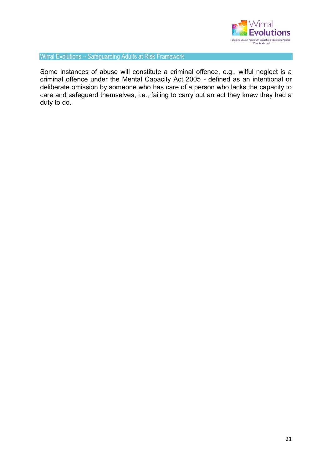

Some instances of abuse will constitute a criminal offence, e.g., wilful neglect is a criminal offence under the Mental Capacity Act 2005 - defined as an intentional or deliberate omission by someone who has care of a person who lacks the capacity to care and safeguard themselves, i.e., failing to carry out an act they knew they had a duty to do.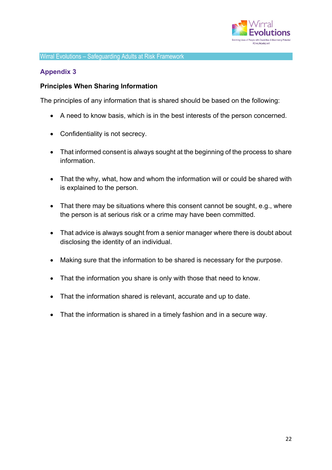

## **Appendix 3**

#### **Principles When Sharing Information**

The principles of any information that is shared should be based on the following:

- A need to know basis, which is in the best interests of the person concerned.
- Confidentiality is not secrecy.
- That informed consent is always sought at the beginning of the process to share information.
- That the why, what, how and whom the information will or could be shared with is explained to the person.
- That there may be situations where this consent cannot be sought, e.g., where the person is at serious risk or a crime may have been committed.
- That advice is always sought from a senior manager where there is doubt about disclosing the identity of an individual.
- Making sure that the information to be shared is necessary for the purpose.
- That the information you share is only with those that need to know.
- That the information shared is relevant, accurate and up to date.
- That the information is shared in a timely fashion and in a secure way.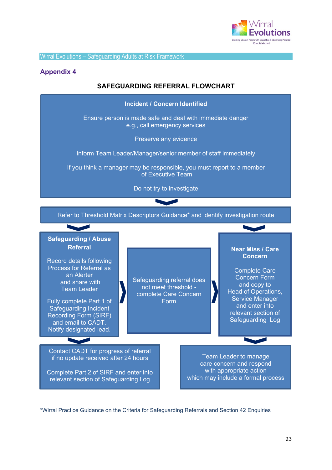

#### **Appendix 4**

## **SAFEGUARDING REFERRAL FLOWCHART**



\*Wirral Practice Guidance on the Criteria for Safeguarding Referrals and Section 42 Enquiries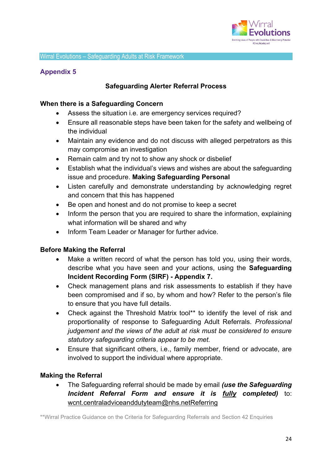

## **Appendix 5**

## **Safeguarding Alerter Referral Process**

#### **When there is a Safeguarding Concern**

- Assess the situation i.e. are emergency services required?
- Ensure all reasonable steps have been taken for the safety and wellbeing of the individual
- Maintain any evidence and do not discuss with alleged perpetrators as this may compromise an investigation
- Remain calm and try not to show any shock or disbelief
- Establish what the individual's views and wishes are about the safeguarding issue and procedure. **Making Safeguarding Personal**
- Listen carefully and demonstrate understanding by acknowledging regret and concern that this has happened
- Be open and honest and do not promise to keep a secret
- Inform the person that you are required to share the information, explaining what information will be shared and why
- Inform Team Leader or Manager for further advice.

## **Before Making the Referral**

- Make a written record of what the person has told you, using their words, describe what you have seen and your actions, using the **Safeguarding Incident Recording Form (SIRF) - Appendix 7.**
- Check management plans and risk assessments to establish if they have been compromised and if so, by whom and how? Refer to the person's file to ensure that you have full details.
- Check against the Threshold Matrix tool\*\* to identify the level of risk and proportionality of response to Safeguarding Adult Referrals. *Professional judgement and the views of the adult at risk must be considered to ensure statutory safeguarding criteria appear to be met.*
- Ensure that significant others, i.e., family member, friend or advocate, are involved to support the individual where appropriate.

## **Making the Referral**

• The Safeguarding referral should be made by email *(use the Safeguarding Incident Referral Form and ensure it is fully completed)* to: [wcnt.centraladviceanddutyteam@nhs.netReferring](mailto:wcnt.centraladviceanddutyteam@nhs.netReferring)

\*\*Wirral Practice Guidance on the Criteria for Safeguarding Referrals and Section 42 Enquiries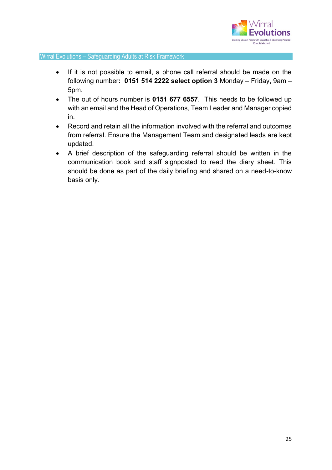

- If it is not possible to email, a phone call referral should be made on the following number**: 0151 514 2222 select option 3** Monday – Friday, 9am – 5pm.
- The out of hours number is **0151 677 6557**. This needs to be followed up with an email and the Head of Operations, Team Leader and Manager copied in.
- Record and retain all the information involved with the referral and outcomes from referral. Ensure the Management Team and designated leads are kept updated.
- A brief description of the safeguarding referral should be written in the communication book and staff signposted to read the diary sheet. This should be done as part of the daily briefing and shared on a need-to-know basis only*.*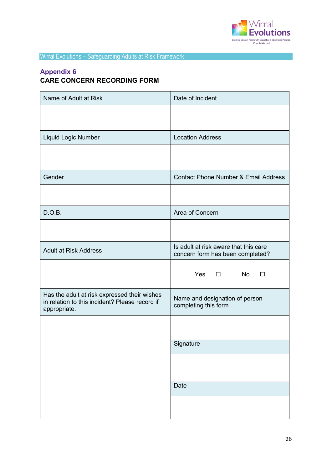

# **Appendix 6 CARE CONCERN RECORDING FORM**

| Name of Adult at Risk                                                                                          | Date of Incident                                                          |  |
|----------------------------------------------------------------------------------------------------------------|---------------------------------------------------------------------------|--|
|                                                                                                                |                                                                           |  |
| Liquid Logic Number                                                                                            | <b>Location Address</b>                                                   |  |
|                                                                                                                |                                                                           |  |
| Gender                                                                                                         | <b>Contact Phone Number &amp; Email Address</b>                           |  |
|                                                                                                                |                                                                           |  |
| D.O.B.                                                                                                         | Area of Concern                                                           |  |
|                                                                                                                |                                                                           |  |
| <b>Adult at Risk Address</b>                                                                                   | Is adult at risk aware that this care<br>concern form has been completed? |  |
|                                                                                                                | Yes $\Box$<br><b>No</b><br>П                                              |  |
| Has the adult at risk expressed their wishes<br>in relation to this incident? Please record if<br>appropriate. | Name and designation of person<br>completing this form                    |  |
|                                                                                                                |                                                                           |  |
|                                                                                                                | Signature                                                                 |  |
|                                                                                                                |                                                                           |  |
|                                                                                                                | Date                                                                      |  |
|                                                                                                                |                                                                           |  |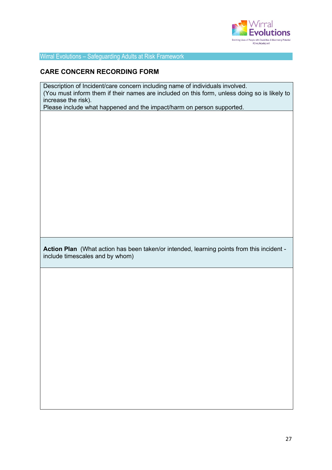

#### **CARE CONCERN RECORDING FORM**

Description of Incident/care concern including name of individuals involved. (You must inform them if their names are included on this form, unless doing so is likely to increase the risk).

Please include what happened and the impact/harm on person supported.

**Action Plan** (What action has been taken/or intended, learning points from this incident include timescales and by whom)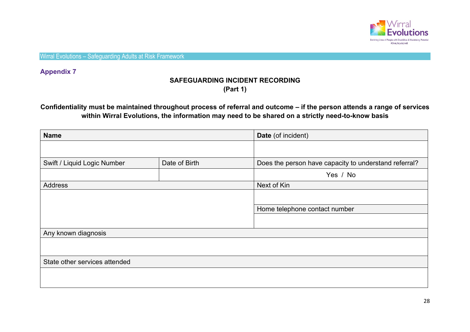

**Appendix 7**

## **SAFEGUARDING INCIDENT RECORDING (Part 1)**

## **Confidentiality must be maintained throughout process of referral and outcome – if the person attends a range of services within Wirral Evolutions, the information may need to be shared on a strictly need-to-know basis**

| <b>Name</b>                                  |  | Date (of incident)                                    |  |
|----------------------------------------------|--|-------------------------------------------------------|--|
|                                              |  |                                                       |  |
| Swift / Liquid Logic Number<br>Date of Birth |  | Does the person have capacity to understand referral? |  |
|                                              |  | Yes / No                                              |  |
| <b>Address</b>                               |  | Next of Kin                                           |  |
|                                              |  |                                                       |  |
|                                              |  | Home telephone contact number                         |  |
|                                              |  |                                                       |  |
| Any known diagnosis                          |  |                                                       |  |
|                                              |  |                                                       |  |
| State other services attended                |  |                                                       |  |
|                                              |  |                                                       |  |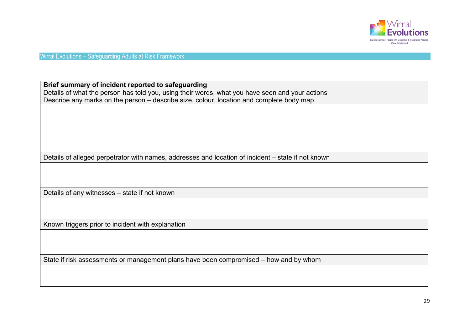

**Brief summary of incident reported to safeguarding** Details of what the person has told you, using their words, what you have seen and your actions Describe any marks on the person – describe size, colour, location and complete body map

Details of alleged perpetrator with names, addresses and location of incident – state if not known

Details of any witnesses – state if not known

Known triggers prior to incident with explanation

State if risk assessments or management plans have been compromised – how and by whom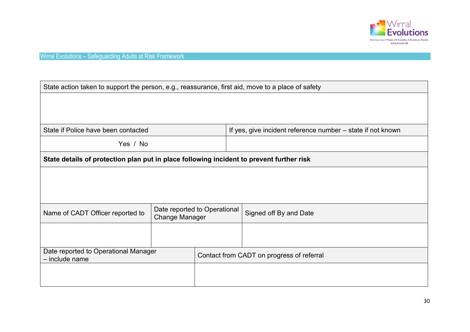

| State action taken to support the person, e.g., reassurance, first aid, move to a place of safety |                                                       |                                           |                                                             |  |  |
|---------------------------------------------------------------------------------------------------|-------------------------------------------------------|-------------------------------------------|-------------------------------------------------------------|--|--|
|                                                                                                   |                                                       |                                           |                                                             |  |  |
|                                                                                                   |                                                       |                                           |                                                             |  |  |
| State if Police have been contacted                                                               |                                                       |                                           | If yes, give incident reference number – state if not known |  |  |
| Yes / No                                                                                          |                                                       |                                           |                                                             |  |  |
| State details of protection plan put in place following incident to prevent further risk          |                                                       |                                           |                                                             |  |  |
|                                                                                                   |                                                       |                                           |                                                             |  |  |
|                                                                                                   |                                                       |                                           |                                                             |  |  |
|                                                                                                   |                                                       |                                           |                                                             |  |  |
| Name of CADT Officer reported to                                                                  | Date reported to Operational<br><b>Change Manager</b> |                                           | Signed off By and Date                                      |  |  |
|                                                                                                   |                                                       |                                           |                                                             |  |  |
|                                                                                                   |                                                       |                                           |                                                             |  |  |
| Date reported to Operational Manager<br>- include name                                            |                                                       | Contact from CADT on progress of referral |                                                             |  |  |
|                                                                                                   |                                                       |                                           |                                                             |  |  |
|                                                                                                   |                                                       |                                           |                                                             |  |  |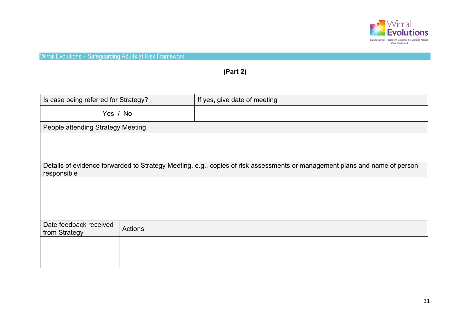

# **(Part 2)**

| Is case being referred for Strategy?                                                                                                      |         | If yes, give date of meeting |
|-------------------------------------------------------------------------------------------------------------------------------------------|---------|------------------------------|
| Yes / No                                                                                                                                  |         |                              |
| People attending Strategy Meeting                                                                                                         |         |                              |
|                                                                                                                                           |         |                              |
|                                                                                                                                           |         |                              |
| Details of evidence forwarded to Strategy Meeting, e.g., copies of risk assessments or management plans and name of person<br>responsible |         |                              |
|                                                                                                                                           |         |                              |
|                                                                                                                                           |         |                              |
|                                                                                                                                           |         |                              |
| Date feedback received<br>from Strategy                                                                                                   | Actions |                              |
|                                                                                                                                           |         |                              |
|                                                                                                                                           |         |                              |
|                                                                                                                                           |         |                              |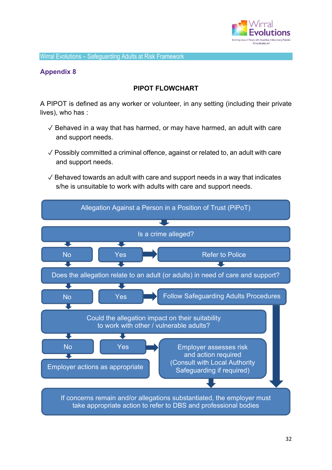

## **Appendix 8**

## **PIPOT FLOWCHART**

A PIPOT is defined as any worker or volunteer, in any setting (including their private lives), who has :

- $\sqrt{2}$  Behaved in a way that has harmed, or may have harmed, an adult with care and support needs.
- $\sqrt{\frac{1}{1}}$  Possibly committed a criminal offence, against or related to, an adult with care and support needs.
- $\sqrt{2}$  Behaved towards an adult with care and support needs in a way that indicates s/he is unsuitable to work with adults with care and support needs.